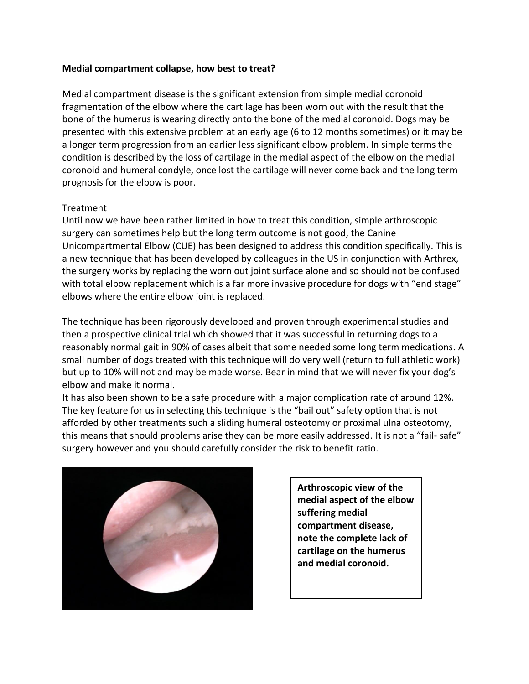## **Medial compartment collapse, how best to treat?**

Medial compartment disease is the significant extension from simple medial coronoid fragmentation of the elbow where the cartilage has been worn out with the result that the bone of the humerus is wearing directly onto the bone of the medial coronoid. Dogs may be presented with this extensive problem at an early age (6 to 12 months sometimes) or it may be a longer term progression from an earlier less significant elbow problem. In simple terms the condition is described by the loss of cartilage in the medial aspect of the elbow on the medial coronoid and humeral condyle, once lost the cartilage will never come back and the long term prognosis for the elbow is poor.

## **Treatment**

Until now we have been rather limited in how to treat this condition, simple arthroscopic surgery can sometimes help but the long term outcome is not good, the Canine Unicompartmental Elbow (CUE) has been designed to address this condition specifically. This is a new technique that has been developed by colleagues in the US in conjunction with Arthrex, the surgery works by replacing the worn out joint surface alone and so should not be confused with total elbow replacement which is a far more invasive procedure for dogs with "end stage" elbows where the entire elbow joint is replaced.

The technique has been rigorously developed and proven through experimental studies and then a prospective clinical trial which showed that it was successful in returning dogs to a reasonably normal gait in 90% of cases albeit that some needed some long term medications. A small number of dogs treated with this technique will do very well (return to full athletic work) but up to 10% will not and may be made worse. Bear in mind that we will never fix your dog's elbow and make it normal.

It has also been shown to be a safe procedure with a major complication rate of around 12%. The key feature for us in selecting this technique is the "bail out" safety option that is not afforded by other treatments such a sliding humeral osteotomy or proximal ulna osteotomy, this means that should problems arise they can be more easily addressed. It is not a "fail- safe" surgery however and you should carefully consider the risk to benefit ratio.



**Arthroscopic view of the medial aspect of the elbow suffering medial compartment disease, note the complete lack of cartilage on the humerus and medial coronoid.**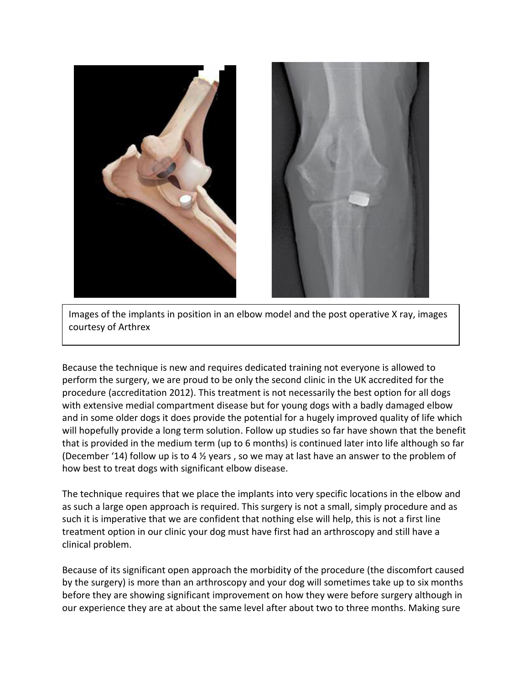

Images of the implants in position in an elbow model and the post operative X ray, images courtesy of Arthrex

Because the technique is new and requires dedicated training not everyone is allowed to perform the surgery, we are proud to be only the second clinic in the UK accredited for the procedure (accreditation 2012). This treatment is not necessarily the best option for all dogs with extensive medial compartment disease but for young dogs with a badly damaged elbow and in some older dogs it does provide the potential for a hugely improved quality of life which will hopefully provide a long term solution. Follow up studies so far have shown that the benefit that is provided in the medium term (up to 6 months) is continued later into life although so far (December '14) follow up is to 4 ½ years , so we may at last have an answer to the problem of how best to treat dogs with significant elbow disease.

The technique requires that we place the implants into very specific locations in the elbow and as such a large open approach is required. This surgery is not a small, simply procedure and as such it is imperative that we are confident that nothing else will help, this is not a first line treatment option in our clinic your dog must have first had an arthroscopy and still have a clinical problem.

Because of its significant open approach the morbidity of the procedure (the discomfort caused by the surgery) is more than an arthroscopy and your dog will sometimes take up to six months before they are showing significant improvement on how they were before surgery although in our experience they are at about the same level after about two to three months. Making sure